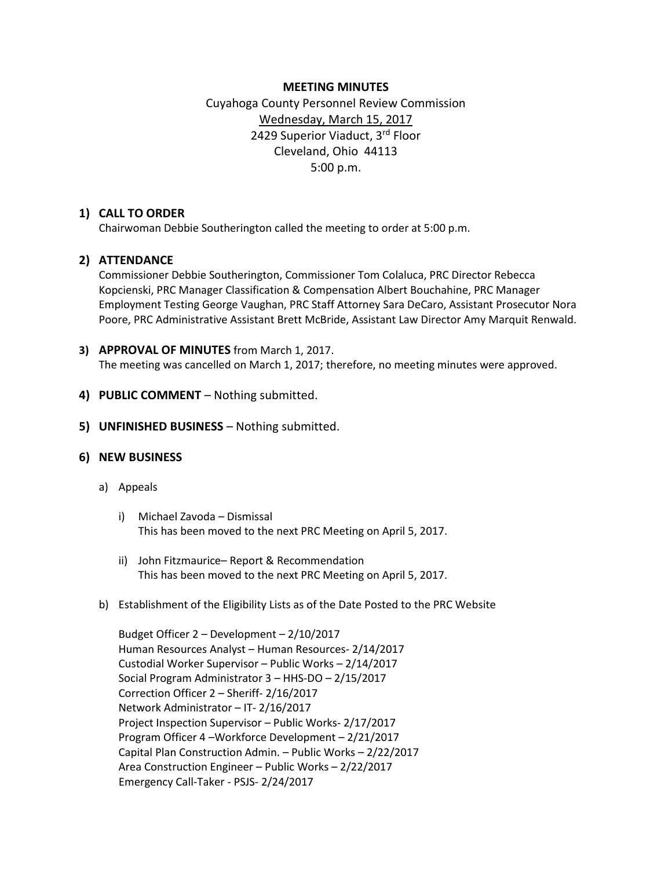## **MEETING MINUTES**

# Cuyahoga County Personnel Review Commission Wednesday, March 15, 2017 2429 Superior Viaduct, 3rd Floor Cleveland, Ohio 44113 5:00 p.m.

# **1) CALL TO ORDER**

Chairwoman Debbie Southerington called the meeting to order at 5:00 p.m.

# **2) ATTENDANCE**

Commissioner Debbie Southerington, Commissioner Tom Colaluca, PRC Director Rebecca Kopcienski, PRC Manager Classification & Compensation Albert Bouchahine, PRC Manager Employment Testing George Vaughan, PRC Staff Attorney Sara DeCaro, Assistant Prosecutor Nora Poore, PRC Administrative Assistant Brett McBride, Assistant Law Director Amy Marquit Renwald.

## **3) APPROVAL OF MINUTES** from March 1, 2017.

The meeting was cancelled on March 1, 2017; therefore, no meeting minutes were approved.

- **4) PUBLIC COMMENT** Nothing submitted.
- **5) UNFINISHED BUSINESS** Nothing submitted.

## **6) NEW BUSINESS**

## a) Appeals

- i) Michael Zavoda Dismissal This has been moved to the next PRC Meeting on April 5, 2017.
- ii) John Fitzmaurice– Report & Recommendation This has been moved to the next PRC Meeting on April 5, 2017.
- b) Establishment of the Eligibility Lists as of the Date Posted to the PRC Website

Budget Officer 2 – Development – 2/10/2017 Human Resources Analyst – Human Resources- 2/14/2017 Custodial Worker Supervisor – Public Works – 2/14/2017 Social Program Administrator 3 – HHS-DO – 2/15/2017 Correction Officer 2 – Sheriff- 2/16/2017 Network Administrator – IT- 2/16/2017 Project Inspection Supervisor – Public Works- 2/17/2017 Program Officer 4 –Workforce Development – 2/21/2017 Capital Plan Construction Admin. – Public Works – 2/22/2017 Area Construction Engineer – Public Works – 2/22/2017 Emergency Call-Taker - PSJS- 2/24/2017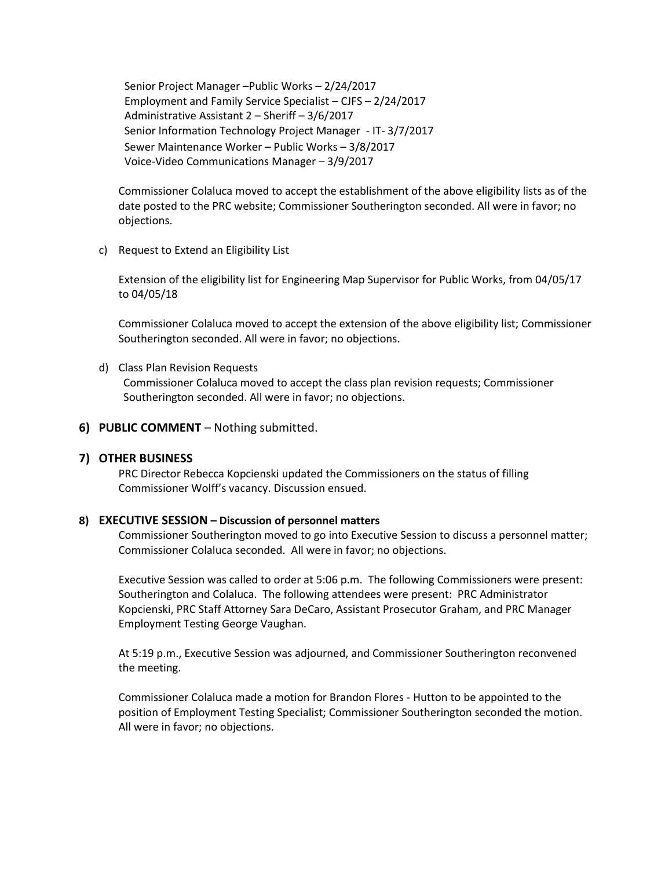Senior Project Manager –Public Works – 2/24/2017 Employment and Family Service Specialist – CJFS – 2/24/2017 Administrative Assistant 2 – Sheriff – 3/6/2017 Senior Information Technology Project Manager - IT- 3/7/2017 Sewer Maintenance Worker – Public Works – 3/8/2017 Voice-Video Communications Manager – 3/9/2017

Commissioner Colaluca moved to accept the establishment of the above eligibility lists as of the date posted to the PRC website; Commissioner Southerington seconded. All were in favor; no objections.

c) Request to Extend an Eligibility List

Extension of the eligibility list for Engineering Map Supervisor for Public Works, from 04/05/17 to 04/05/18

Commissioner Colaluca moved to accept the extension of the above eligibility list; Commissioner Southerington seconded. All were in favor; no objections.

d) Class Plan Revision Requests

Commissioner Colaluca moved to accept the class plan revision requests; Commissioner Southerington seconded. All were in favor; no objections.

#### **6) PUBLIC COMMENT** – Nothing submitted.

#### **7) OTHER BUSINESS**

PRC Director Rebecca Kopcienski updated the Commissioners on the status of filling Commissioner Wolff's vacancy. Discussion ensued.

#### **8) EXECUTIVE SESSION – Discussion of personnel matters**

Commissioner Southerington moved to go into Executive Session to discuss a personnel matter; Commissioner Colaluca seconded. All were in favor; no objections.

Executive Session was called to order at 5:06 p.m. The following Commissioners were present: Southerington and Colaluca. The following attendees were present: PRC Administrator Kopcienski, PRC Staff Attorney Sara DeCaro, Assistant Prosecutor Graham, and PRC Manager Employment Testing George Vaughan.

At 5:19 p.m., Executive Session was adjourned, and Commissioner Southerington reconvened the meeting.

Commissioner Colaluca made a motion for Brandon Flores - Hutton to be appointed to the position of Employment Testing Specialist; Commissioner Southerington seconded the motion. All were in favor; no objections.